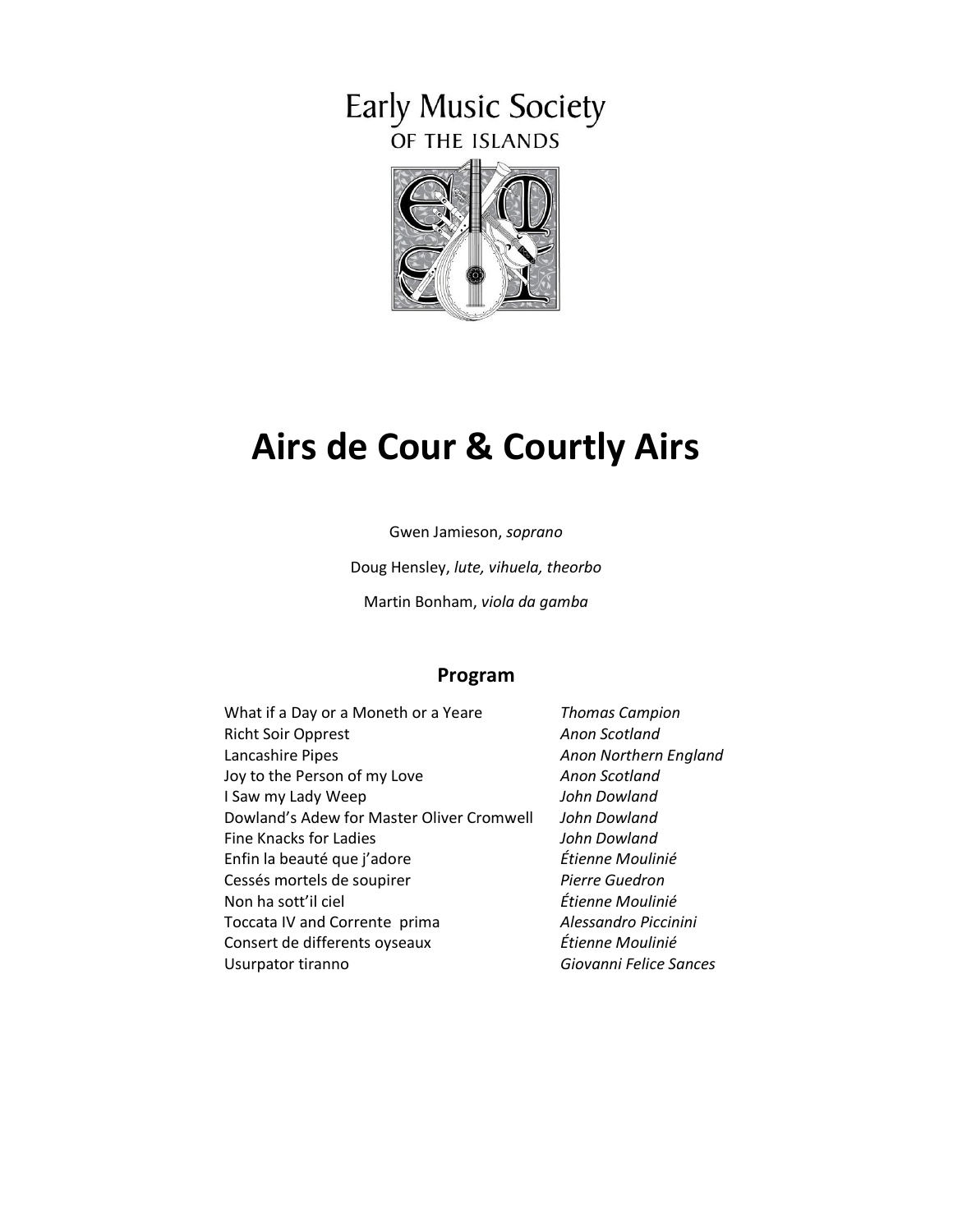# Early Music Society OF THE ISLANDS



# **Airs de Cour & Courtly Airs**

Gwen Jamieson, *soprano*

Doug Hensley, *lute, vihuela, theorbo*

Martin Bonham, *viola da gamba*

#### **Program**

| What if a Day or a Moneth or a Yeare      | <b>Thomas Campior</b> |
|-------------------------------------------|-----------------------|
| <b>Richt Soir Opprest</b>                 | Anon Scotland         |
| Lancashire Pipes                          | Anon Northern E.      |
| Joy to the Person of my Love              | Anon Scotland         |
| I Saw my Lady Weep                        | John Dowland          |
| Dowland's Adew for Master Oliver Cromwell | John Dowland          |
| Fine Knacks for Ladies                    | John Dowland          |
| Enfin la beauté que j'adore               | Étienne Moulinié      |
| Cessés mortels de soupirer                | Pierre Guedron        |
| Non ha sott'il ciel                       | Étienne Moulinié      |
| Toccata IV and Corrente prima             | Alessandro Piccir     |
| Consert de differents oyseaux             | Étienne Moulinié      |
| Usurpator tiranno                         | Giovanni Felice S     |

ampion Lancashire Pipes *Anon Northern England*  $\sigma$  Piccinini Usurpator tiranno *Giovanni Felice Sances*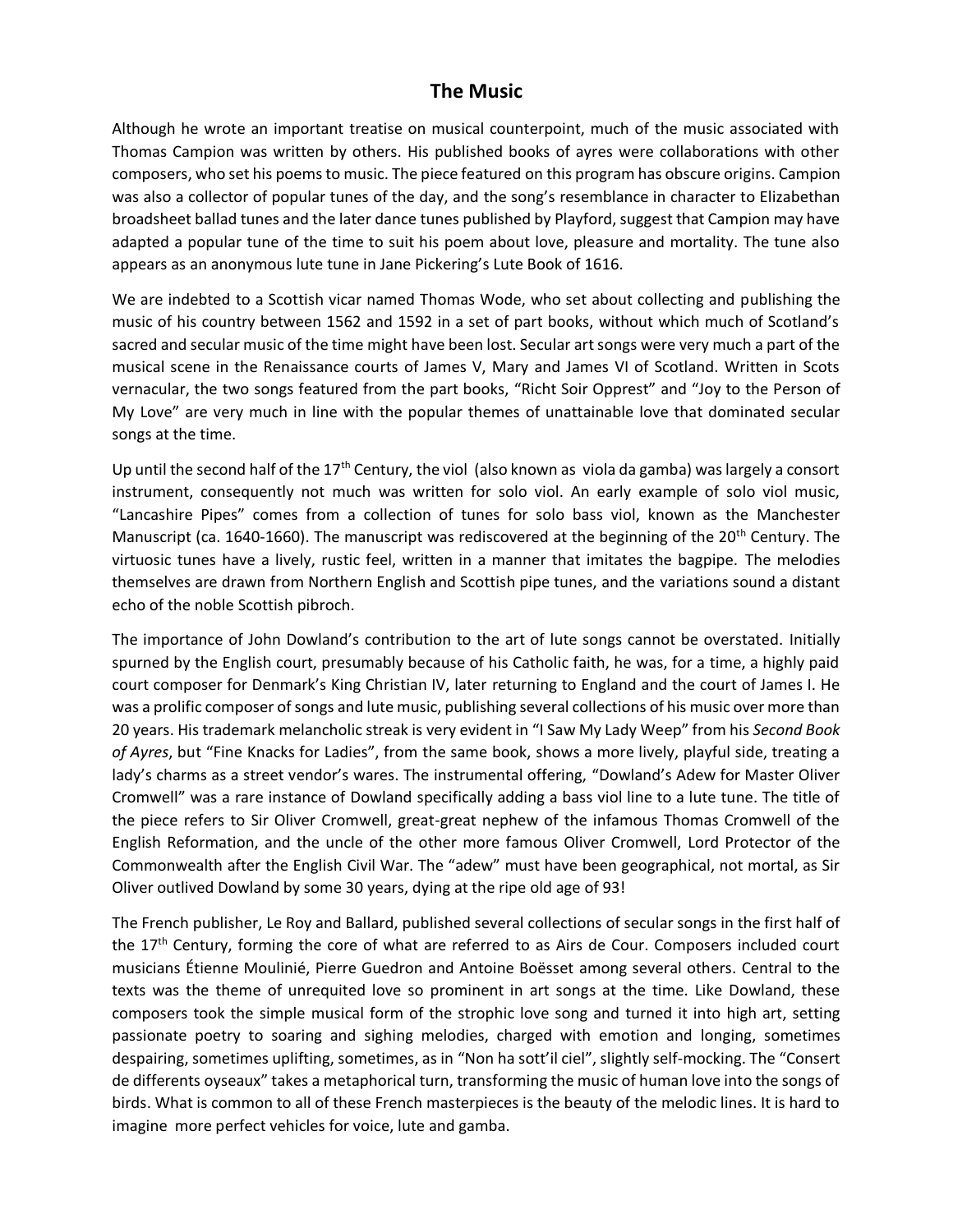### **The Music**

Although he wrote an important treatise on musical counterpoint, much of the music associated with Thomas Campion was written by others. His published books of ayres were collaborations with other composers, who set his poems to music. The piece featured on this program has obscure origins. Campion was also a collector of popular tunes of the day, and the song's resemblance in character to Elizabethan broadsheet ballad tunes and the later dance tunes published by Playford, suggest that Campion may have adapted a popular tune of the time to suit his poem about love, pleasure and mortality. The tune also appears as an anonymous lute tune in Jane Pickering's Lute Book of 1616.

We are indebted to a Scottish vicar named Thomas Wode, who set about collecting and publishing the music of his country between 1562 and 1592 in a set of part books, without which much of Scotland's sacred and secular music of the time might have been lost. Secular art songs were very much a part of the musical scene in the Renaissance courts of James V, Mary and James VI of Scotland. Written in Scots vernacular, the two songs featured from the part books, "Richt Soir Opprest" and "Joy to the Person of My Love" are very much in line with the popular themes of unattainable love that dominated secular songs at the time.

Up until the second half of the 17<sup>th</sup> Century, the viol (also known as viola da gamba) was largely a consort instrument, consequently not much was written for solo viol. An early example of solo viol music, "Lancashire Pipes" comes from a collection of tunes for solo bass viol, known as the Manchester Manuscript (ca. 1640-1660). The manuscript was rediscovered at the beginning of the 20<sup>th</sup> Century. The virtuosic tunes have a lively, rustic feel, written in a manner that imitates the bagpipe. The melodies themselves are drawn from Northern English and Scottish pipe tunes, and the variations sound a distant echo of the noble Scottish pibroch.

The importance of John Dowland's contribution to the art of lute songs cannot be overstated. Initially spurned by the English court, presumably because of his Catholic faith, he was, for a time, a highly paid court composer for Denmark's King Christian IV, later returning to England and the court of James I. He was a prolific composer of songs and lute music, publishing several collections of his music over more than 20 years. His trademark melancholic streak is very evident in "I Saw My Lady Weep" from his *Second Book of Ayres*, but "Fine Knacks for Ladies", from the same book, shows a more lively, playful side, treating a lady's charms as a street vendor's wares. The instrumental offering, "Dowland's Adew for Master Oliver Cromwell" was a rare instance of Dowland specifically adding a bass viol line to a lute tune. The title of the piece refers to Sir Oliver Cromwell, great-great nephew of the infamous Thomas Cromwell of the English Reformation, and the uncle of the other more famous Oliver Cromwell, Lord Protector of the Commonwealth after the English Civil War. The "adew" must have been geographical, not mortal, as Sir Oliver outlived Dowland by some 30 years, dying at the ripe old age of 93!

The French publisher, Le Roy and Ballard, published several collections of secular songs in the first half of the 17<sup>th</sup> Century, forming the core of what are referred to as Airs de Cour. Composers included court musicians Étienne Moulinié, Pierre Guedron and Antoine Boësset among several others. Central to the texts was the theme of unrequited love so prominent in art songs at the time. Like Dowland, these composers took the simple musical form of the strophic love song and turned it into high art, setting passionate poetry to soaring and sighing melodies, charged with emotion and longing, sometimes despairing, sometimes uplifting, sometimes, as in "Non ha sott'il ciel", slightly self-mocking. The "Consert de differents oyseaux" takes a metaphorical turn, transforming the music of human love into the songs of birds. What is common to all of these French masterpieces is the beauty of the melodic lines. It is hard to imagine more perfect vehicles for voice, lute and gamba.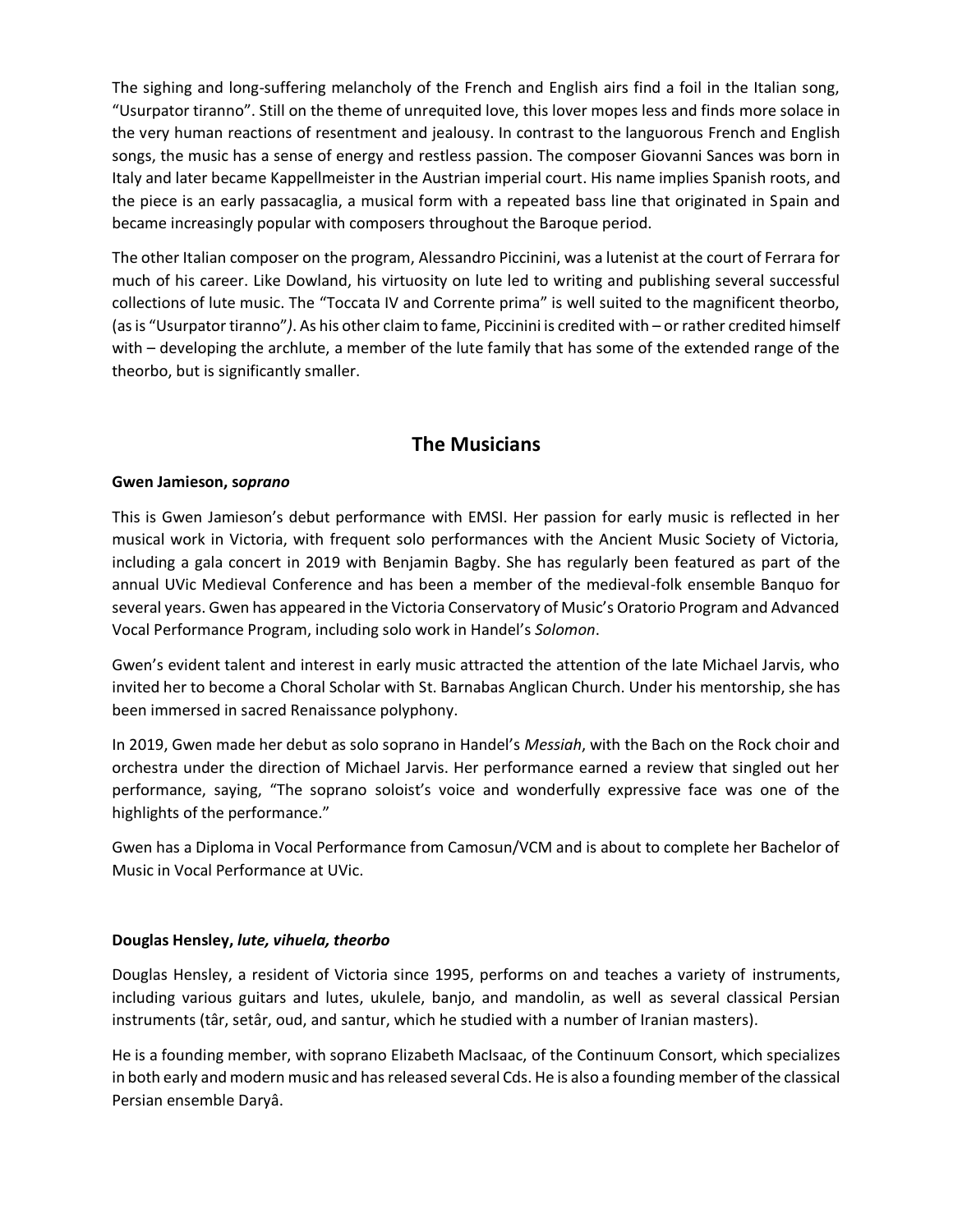The sighing and long-suffering melancholy of the French and English airs find a foil in the Italian song, "Usurpator tiranno". Still on the theme of unrequited love, this lover mopes less and finds more solace in the very human reactions of resentment and jealousy. In contrast to the languorous French and English songs, the music has a sense of energy and restless passion. The composer Giovanni Sances was born in Italy and later became Kappellmeister in the Austrian imperial court. His name implies Spanish roots, and the piece is an early passacaglia, a musical form with a repeated bass line that originated in Spain and became increasingly popular with composers throughout the Baroque period.

The other Italian composer on the program, Alessandro Piccinini, was a lutenist at the court of Ferrara for much of his career. Like Dowland, his virtuosity on lute led to writing and publishing several successful collections of lute music. The "Toccata IV and Corrente prima" is well suited to the magnificent theorbo, (as is "Usurpator tiranno"*)*. As his other claim to fame, Piccinini is credited with – or rather credited himself with – developing the archlute, a member of the lute family that has some of the extended range of the theorbo, but is significantly smaller.

# **The Musicians**

#### **Gwen Jamieson, s***oprano*

This is Gwen Jamieson's debut performance with EMSI. Her passion for early music is reflected in her musical work in Victoria, with frequent solo performances with the Ancient Music Society of Victoria, including a gala concert in 2019 with Benjamin Bagby. She has regularly been featured as part of the annual UVic Medieval Conference and has been a member of the medieval-folk ensemble Banquo for several years. Gwen has appeared in the Victoria Conservatory of Music's Oratorio Program and Advanced Vocal Performance Program, including solo work in Handel's *Solomon*.

Gwen's evident talent and interest in early music attracted the attention of the late Michael Jarvis, who invited her to become a Choral Scholar with St. Barnabas Anglican Church. Under his mentorship, she has been immersed in sacred Renaissance polyphony.

In 2019, Gwen made her debut as solo soprano in Handel's *Messiah*, with the Bach on the Rock choir and orchestra under the direction of Michael Jarvis. Her performance earned a review that singled out her performance, saying, "The soprano soloist's voice and wonderfully expressive face was one of the highlights of the performance."

Gwen has a Diploma in Vocal Performance from Camosun/VCM and is about to complete her Bachelor of Music in Vocal Performance at UVic.

#### **Douglas Hensley,** *lute, vihuela, theorbo*

Douglas Hensley, a resident of Victoria since 1995, performs on and teaches a variety of instruments, including various guitars and lutes, ukulele, banjo, and mandolin, as well as several classical Persian instruments (târ, setâr, oud, and santur, which he studied with a number of Iranian masters).

He is a founding member, with soprano Elizabeth MacIsaac, of the Continuum Consort, which specializes in both early and modern music and hasreleased several Cds. He is also a founding member of the classical Persian ensemble Daryâ.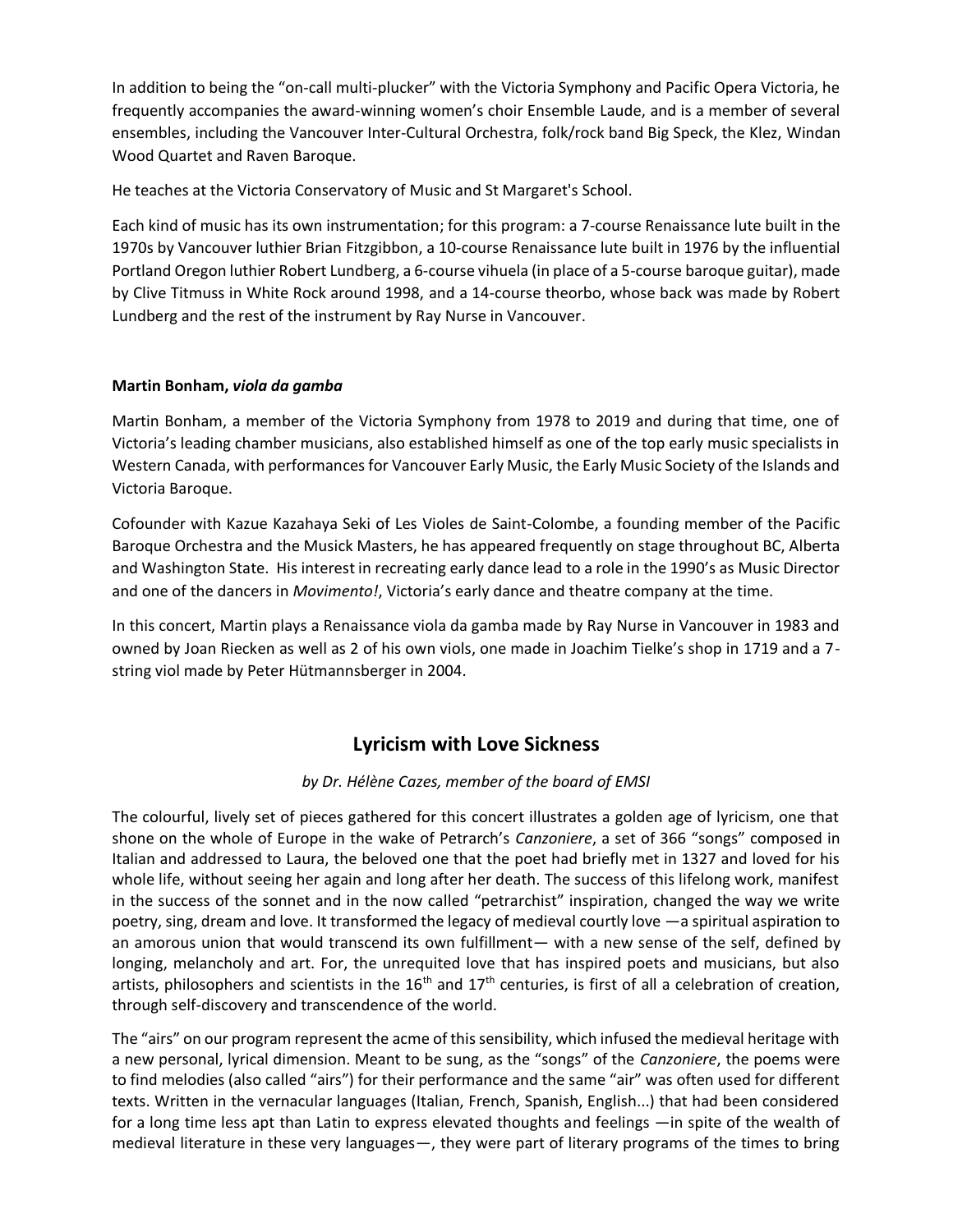In addition to being the "on-call multi-plucker" with the Victoria Symphony and Pacific Opera Victoria, he frequently accompanies the award-winning women's choir Ensemble Laude, and is a member of several ensembles, including the Vancouver Inter-Cultural Orchestra, folk/rock band Big Speck, the Klez, Windan Wood Quartet and Raven Baroque.

He teaches at the Victoria Conservatory of Music and St Margaret's School.

Each kind of music has its own instrumentation; for this program: a 7-course Renaissance lute built in the 1970s by Vancouver luthier Brian Fitzgibbon, a 10-course Renaissance lute built in 1976 by the influential Portland Oregon luthier Robert Lundberg, a 6-course vihuela (in place of a 5-course baroque guitar), made by Clive Titmuss in White Rock around 1998, and a 14-course theorbo, whose back was made by Robert Lundberg and the rest of the instrument by Ray Nurse in Vancouver.

#### **Martin Bonham,** *viola da gamba*

Martin Bonham, a member of the Victoria Symphony from 1978 to 2019 and during that time, one of Victoria's leading chamber musicians, also established himself as one of the top early music specialists in Western Canada, with performances for Vancouver Early Music, the Early Music Society of the Islands and Victoria Baroque.

Cofounder with Kazue Kazahaya Seki of Les Violes de Saint-Colombe, a founding member of the Pacific Baroque Orchestra and the Musick Masters, he has appeared frequently on stage throughout BC, Alberta and Washington State. His interest in recreating early dance lead to a role in the 1990's as Music Director and one of the dancers in *Movimento!*, Victoria's early dance and theatre company at the time.

In this concert, Martin plays a Renaissance viola da gamba made by Ray Nurse in Vancouver in 1983 and owned by Joan Riecken as well as 2 of his own viols, one made in Joachim Tielke's shop in 1719 and a 7 string viol made by Peter Hütmannsberger in 2004.

# **Lyricism with Love Sickness**

#### *by Dr. Hélène Cazes, member of the board of EMSI*

The colourful, lively set of pieces gathered for this concert illustrates a golden age of lyricism, one that shone on the whole of Europe in the wake of Petrarch's *Canzoniere*, a set of 366 "songs" composed in Italian and addressed to Laura, the beloved one that the poet had briefly met in 1327 and loved for his whole life, without seeing her again and long after her death. The success of this lifelong work, manifest in the success of the sonnet and in the now called "petrarchist" inspiration, changed the way we write poetry, sing, dream and love. It transformed the legacy of medieval courtly love —a spiritual aspiration to an amorous union that would transcend its own fulfillment— with a new sense of the self, defined by longing, melancholy and art. For, the unrequited love that has inspired poets and musicians, but also artists, philosophers and scientists in the  $16<sup>th</sup>$  and  $17<sup>th</sup>$  centuries, is first of all a celebration of creation, through self-discovery and transcendence of the world.

The "airs" on our program represent the acme of this sensibility, which infused the medieval heritage with a new personal, lyrical dimension. Meant to be sung, as the "songs" of the *Canzoniere*, the poems were to find melodies (also called "airs") for their performance and the same "air" was often used for different texts. Written in the vernacular languages (Italian, French, Spanish, English...) that had been considered for a long time less apt than Latin to express elevated thoughts and feelings —in spite of the wealth of medieval literature in these very languages—, they were part of literary programs of the times to bring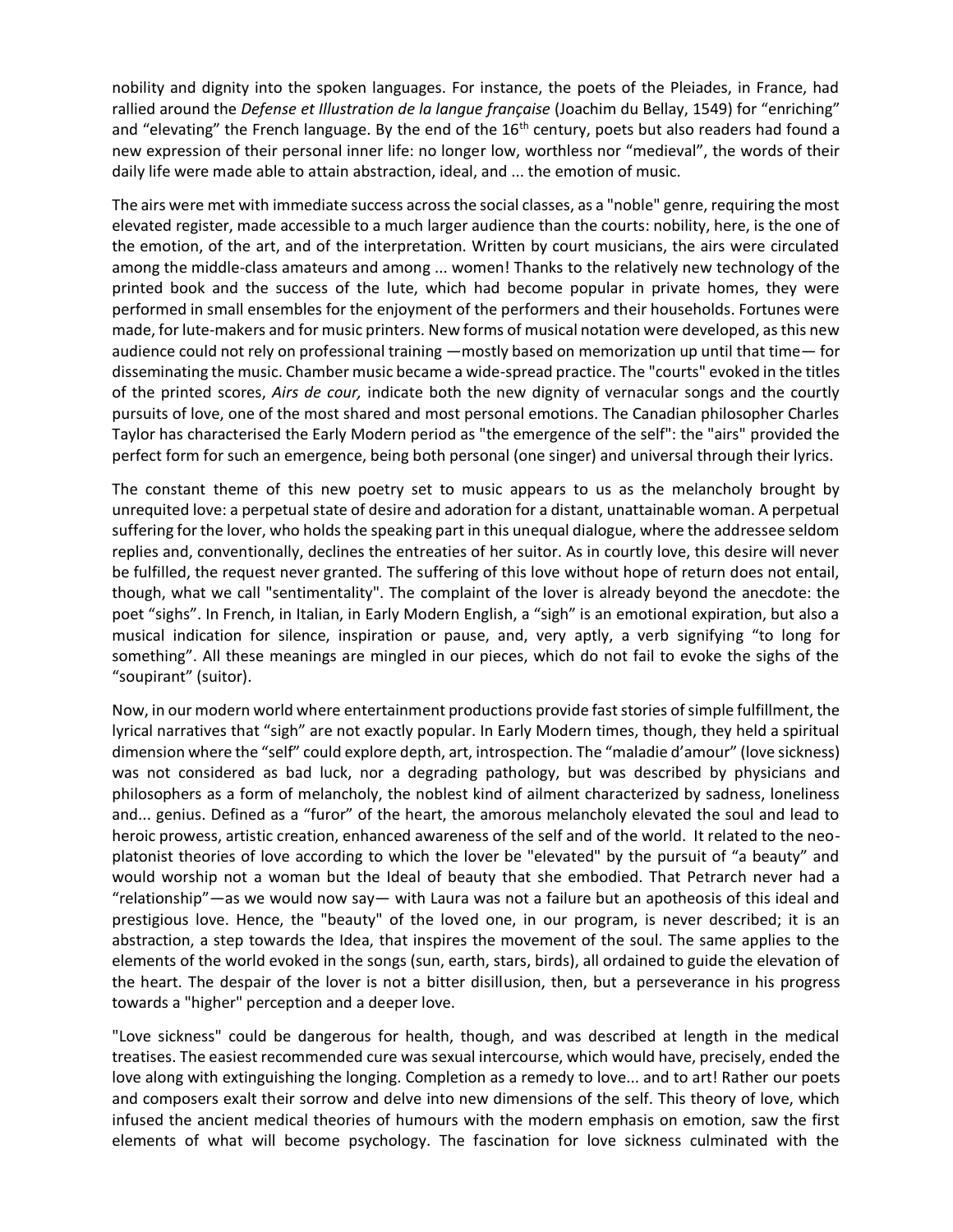nobility and dignity into the spoken languages. For instance, the poets of the Pleiades, in France, had rallied around the *Defense et Illustration de la langue française* (Joachim du Bellay, 1549) for "enriching" and "elevating" the French language. By the end of the  $16<sup>th</sup>$  century, poets but also readers had found a new expression of their personal inner life: no longer low, worthless nor "medieval", the words of their daily life were made able to attain abstraction, ideal, and ... the emotion of music.

The airs were met with immediate success across the social classes, as a "noble" genre, requiring the most elevated register, made accessible to a much larger audience than the courts: nobility, here, is the one of the emotion, of the art, and of the interpretation. Written by court musicians, the airs were circulated among the middle-class amateurs and among ... women! Thanks to the relatively new technology of the printed book and the success of the lute, which had become popular in private homes, they were performed in small ensembles for the enjoyment of the performers and their households. Fortunes were made, for lute-makers and for music printers. New forms of musical notation were developed, as this new audience could not rely on professional training —mostly based on memorization up until that time— for disseminating the music. Chamber music became a wide-spread practice. The "courts" evoked in the titles of the printed scores, *Airs de cour,* indicate both the new dignity of vernacular songs and the courtly pursuits of love, one of the most shared and most personal emotions. The Canadian philosopher Charles Taylor has characterised the Early Modern period as "the emergence of the self": the "airs" provided the perfect form for such an emergence, being both personal (one singer) and universal through their lyrics.

The constant theme of this new poetry set to music appears to us as the melancholy brought by unrequited love: a perpetual state of desire and adoration for a distant, unattainable woman. A perpetual suffering for the lover, who holds the speaking part in this unequal dialogue, where the addressee seldom replies and, conventionally, declines the entreaties of her suitor. As in courtly love, this desire will never be fulfilled, the request never granted. The suffering of this love without hope of return does not entail, though, what we call "sentimentality". The complaint of the lover is already beyond the anecdote: the poet "sighs". In French, in Italian, in Early Modern English, a "sigh" is an emotional expiration, but also a musical indication for silence, inspiration or pause, and, very aptly, a verb signifying "to long for something". All these meanings are mingled in our pieces, which do not fail to evoke the sighs of the "soupirant" (suitor).

Now, in our modern world where entertainment productions provide fast stories of simple fulfillment, the lyrical narratives that "sigh" are not exactly popular. In Early Modern times, though, they held a spiritual dimension where the "self" could explore depth, art, introspection. The "maladie d'amour" (love sickness) was not considered as bad luck, nor a degrading pathology, but was described by physicians and philosophers as a form of melancholy, the noblest kind of ailment characterized by sadness, loneliness and... genius. Defined as a "furor" of the heart, the amorous melancholy elevated the soul and lead to heroic prowess, artistic creation, enhanced awareness of the self and of the world. It related to the neoplatonist theories of love according to which the lover be "elevated" by the pursuit of "a beauty" and would worship not a woman but the Ideal of beauty that she embodied. That Petrarch never had a "relationship"—as we would now say— with Laura was not a failure but an apotheosis of this ideal and prestigious love. Hence, the "beauty" of the loved one, in our program, is never described; it is an abstraction, a step towards the Idea, that inspires the movement of the soul. The same applies to the elements of the world evoked in the songs (sun, earth, stars, birds), all ordained to guide the elevation of the heart. The despair of the lover is not a bitter disillusion, then, but a perseverance in his progress towards a "higher" perception and a deeper love.

"Love sickness" could be dangerous for health, though, and was described at length in the medical treatises. The easiest recommended cure was sexual intercourse, which would have, precisely, ended the love along with extinguishing the longing. Completion as a remedy to love... and to art! Rather our poets and composers exalt their sorrow and delve into new dimensions of the self. This theory of love, which infused the ancient medical theories of humours with the modern emphasis on emotion, saw the first elements of what will become psychology. The fascination for love sickness culminated with the